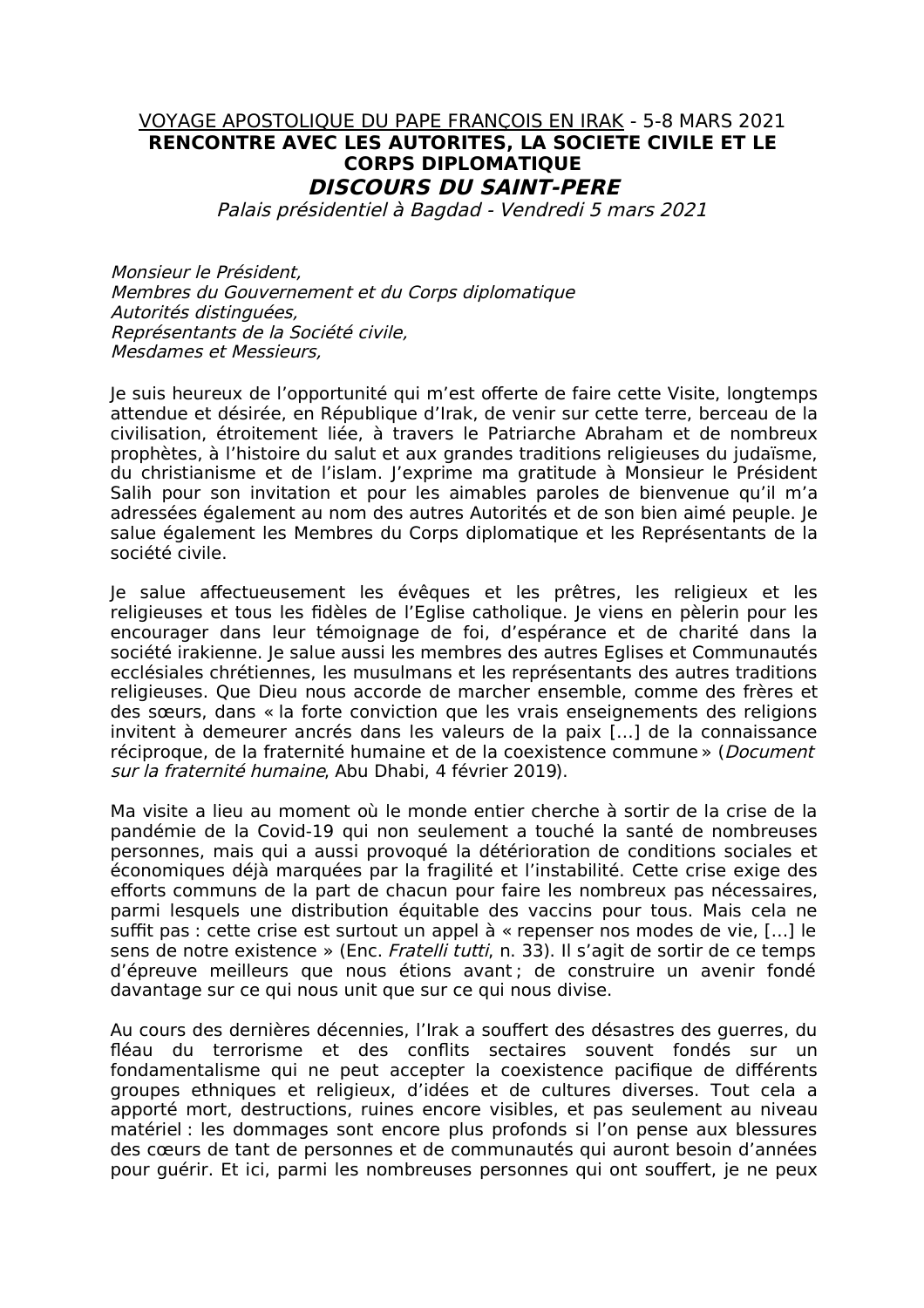## VOYAGE APOSTOLIQUE DU PAPE FRANCOIS EN IRAK - 5-8 MARS 2021 RENCONTRE AVEC LES AUTORITES, LA SOCIETE CIVILE ET LE **CORPS DIPLOMATIOUE DISCOURS DU SAINT-PERE**

Palais présidentiel à Bagdad - Vendredi 5 mars 2021

Monsieur le Président. Membres du Gouvernement et du Corps diplomatique Autorités distinguées, Représentants de la Société civile. Mesdames et Messieurs.

Je suis heureux de l'opportunité qui m'est offerte de faire cette Visite, longtemps attendue et désirée, en République d'Irak, de venir sur cette terre, berceau de la civilisation, étroitement liée, à travers le Patriarche Abraham et de nombreux prophètes, à l'histoire du salut et aux grandes traditions religieuses du judaïsme, du christianisme et de l'islam. J'exprime ma gratitude à Monsieur le Président Salih pour son invitation et pour les aimables paroles de bienvenue qu'il m'a adressées également au nom des autres Autorités et de son bien aimé peuple. Je salue également les Membres du Corps diplomatique et les Représentants de la société civile.

Je salue affectueusement les évêques et les prêtres, les religieux et les religieuses et tous les fidèles de l'Eglise catholique. Je viens en pèlerin pour les encourager dans leur témoignage de foi, d'espérance et de charité dans la société irakienne. Je salue aussi les membres des autres Eglises et Communautés ecclésiales chrétiennes, les musulmans et les représentants des autres traditions religieuses. Que Dieu nous accorde de marcher ensemble, comme des frères et des sœurs, dans « la forte conviction que les vrais enseignements des religions invitent à demeurer ancrés dans les valeurs de la paix [...] de la connaissance réciproque, de la fraternité humaine et de la coexistence commune » (*Document* sur la fraternité humaine, Abu Dhabi, 4 février 2019).

Ma visite a lieu au moment où le monde entier cherche à sortir de la crise de la pandémie de la Covid-19 qui non seulement a touché la santé de nombreuses personnes, mais qui a aussi provoqué la détérioration de conditions sociales et économiques déjà marquées par la fragilité et l'instabilité. Cette crise exige des efforts communs de la part de chacun pour faire les nombreux pas nécessaires, parmi lesquels une distribution équitable des vaccins pour tous. Mais cela ne suffit pas : cette crise est surtout un appel à « repenser nos modes de vie, [...] le sens de notre existence » (Enc. Fratelli tutti, n. 33). Il s'agit de sortir de ce temps d'épreuve meilleurs que nous étions avant; de construire un avenir fondé davantage sur ce qui nous unit que sur ce qui nous divise.

Au cours des dernières décennies, l'Irak a souffert des désastres des querres, du fléau du terrorisme et des conflits sectaires souvent fondés sur un fondamentalisme qui ne peut accepter la coexistence pacifique de différents groupes ethniques et religieux, d'idées et de cultures diverses. Tout cela a apporté mort, destructions, ruines encore visibles, et pas seulement au niveau matériel : les dommages sont encore plus profonds si l'on pense aux blessures des cœurs de tant de personnes et de communautés qui auront besoin d'années pour quérir. Et ici, parmi les nombreuses personnes qui ont souffert, je ne peux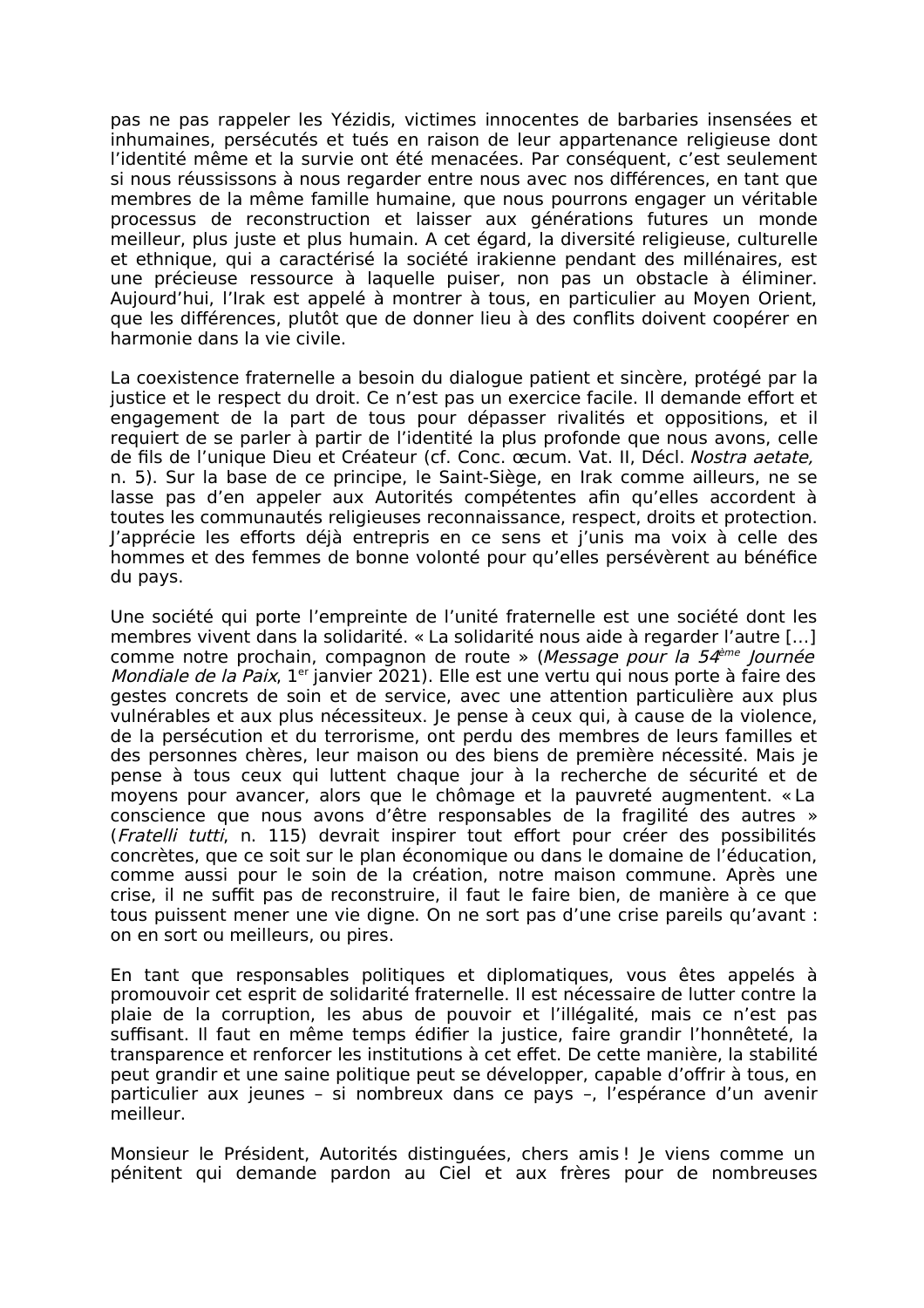pas ne pas rappeler les Yézidis, victimes innocentes de barbaries insensées et inhumaines, persécutés et tués en raison de leur appartenance religieuse dont l'identité même et la survie ont été menacées. Par conséquent, c'est seulement si nous réussissons à nous regarder entre nous avec nos différences, en tant que membres de la même famille humaine, que nous pourrons engager un véritable processus de reconstruction et laisser aux générations futures un monde meilleur, plus juste et plus humain. A cet égard, la diversité religieuse, culturelle et ethnique, qui a caractérisé la société irakienne pendant des millénaires, est une précieuse ressource à laquelle puiser, non pas un obstacle à éliminer. Aujourd'hui, l'Irak est appelé à montrer à tous, en particulier au Moyen Orient, que les différences, plutôt que de donner lieu à des conflits doivent coopérer en harmonie dans la vie civile.

La coexistence fraternelle a besoin du dialogue patient et sincère, protégé par la justice et le respect du droit. Ce n'est pas un exercice facile. Il demande effort et engagement de la part de tous pour dépasser rivalités et oppositions, et il requiert de se parler à partir de l'identité la plus profonde que nous avons, celle de fils de l'unique Dieu et Créateur (cf. Conc. œcum. Vat. II. Décl. Nostra aetate. n. 5). Sur la base de ce principe, le Saint-Siège, en Irak comme ailleurs, ne se lasse pas d'en appeler aux Autorités compétentes afin qu'elles accordent à toutes les communautés religieuses reconnaissance, respect, droits et protection. l'apprécie les efforts déjà entrepris en ce sens et j'unis ma voix à celle des hommes et des femmes de bonne volonté pour qu'elles persévèrent au bénéfice du pays.

Une société qui porte l'empreinte de l'unité fraternelle est une société dont les membres vivent dans la solidarité. « La solidarité nous aide à regarder l'autre [...] comme notre prochain, compagnon de route » (Message pour la 54<sup>ème</sup> Journée Mondiale de la Paix, 1<sup>er</sup> janvier 2021). Elle est une vertu qui nous porte à faire des gestes concrets de soin et de service, avec une attention particulière aux plus vulnérables et aux plus nécessiteux. Je pense à ceux qui, à cause de la violence, de la persécution et du terrorisme, ont perdu des membres de leurs familles et des personnes chères, leur maison ou des biens de première nécessité. Mais je pense à tous ceux qui luttent chaque jour à la recherche de sécurité et de moyens pour avancer, alors que le chômage et la pauvreté augmentent. « La conscience que nous avons d'être responsables de la fragilité des autres » (Fratelli tutti, n. 115) devrait inspirer tout effort pour créer des possibilités concrètes, que ce soit sur le plan économique ou dans le domaine de l'éducation, comme aussi pour le soin de la création, notre maison commune. Après une crise, il ne suffit pas de reconstruire, il faut le faire bien, de manière à ce que tous puissent mener une vie digne. On ne sort pas d'une crise pareils qu'avant : on en sort ou meilleurs, ou pires.

En tant que responsables politiques et diplomatiques, vous êtes appelés à promouvoir cet esprit de solidarité fraternelle. Il est nécessaire de lutter contre la plaie de la corruption. les abus de pouvoir et l'illégalité, mais ce n'est pas suffisant. Il faut en même temps édifier la justice, faire grandir l'honnêteté, la transparence et renforcer les institutions à cet effet. De cette manière, la stabilité peut grandir et une saine politique peut se développer, capable d'offrir à tous, en particulier aux jeunes - si nombreux dans ce pays -, l'espérance d'un avenir meilleur.

Monsieur le Président, Autorités distinguées, chers amis! Je viens comme un pénitent qui demande pardon au Ciel et aux frères pour de nombreuses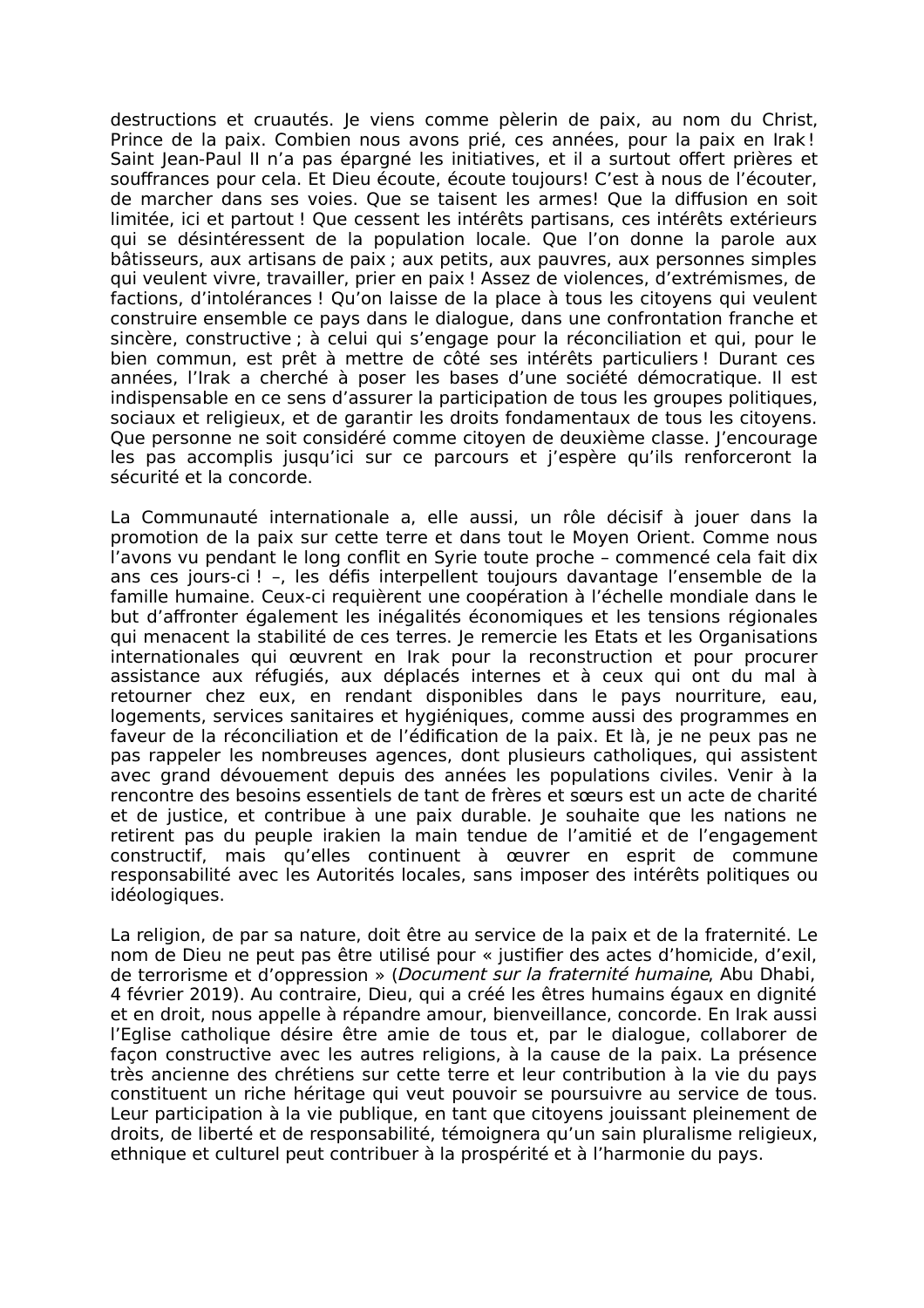destructions et cruautés. Je viens comme pèlerin de paix, au nom du Christ, Prince de la paix. Combien nous avons prié, ces années, pour la paix en Irak! Saint Jean-Paul II n'a pas épargné les initiatives, et il a surtout offert prières et souffrances pour cela. Et Dieu écoute, écoute toujours! C'est à nous de l'écouter. de marcher dans ses voies. Oue se taisent les armes! Oue la diffusion en soit limitée, ici et partout ! Que cessent les intérêts partisans, ces intérêts extérieurs qui se désintéressent de la population locale. Que l'on donne la parole aux bâtisseurs, aux artisans de paix; aux petits, aux pauvres, aux personnes simples qui veulent vivre, travailler, prier en paix ! Assez de violences, d'extrémismes, de factions, d'intolérances ! Qu'on laisse de la place à tous les citoyens qui veulent construire ensemble ce pays dans le dialogue, dans une confrontation franche et sincère, constructive ; à celui qui s'engage pour la réconciliation et qui, pour le bien commun, est prêt à mettre de côté ses intérêts particuliers ! Durant ces années, l'Irak a cherché à poser les bases d'une société démocratique. Il est indispensable en ce sens d'assurer la participation de tous les groupes politiques, sociaux et religieux, et de garantir les droits fondamentaux de tous les citovens. Oue personne ne soit considéré comme citoven de deuxième classe. l'encourage les pas accomplis jusqu'ici sur ce parcours et j'espère qu'ils renforceront la sécurité et la concorde.

La Communauté internationale a, elle aussi, un rôle décisif à jouer dans la promotion de la paix sur cette terre et dans tout le Moyen Orient. Comme nous l'avons vu pendant le long conflit en Syrie toute proche - commencé cela fait dix ans ces jours-ci ! -, les défis interpellent toujours davantage l'ensemble de la famille humaine. Ceux-ci requièrent une coopération à l'échelle mondiale dans le but d'affronter également les inégalités économiques et les tensions régionales qui menacent la stabilité de ces terres. Je remercie les Etats et les Organisations internationales qui œuvrent en Irak pour la reconstruction et pour procurer assistance aux réfugiés, aux déplacés internes et à ceux qui ont du mal à retourner chez eux, en rendant disponibles dans le pays nourriture, eau, logements, services sanitaires et hygiéniques, comme aussi des programmes en faveur de la réconciliation et de l'édification de la paix. Et là, ie ne peux pas ne pas rappeler les nombreuses agences, dont plusieurs catholiques, qui assistent avec grand dévouement depuis des années les populations civiles. Venir à la rencontre des besoins essentiels de tant de frères et sœurs est un acte de charité et de justice, et contribue à une paix durable. Je souhaite que les nations ne retirent pas du peuple irakien la main tendue de l'amitié et de l'engagement constructif, mais qu'elles continuent à œuvrer en esprit de commune responsabilité avec les Autorités locales, sans imposer des intérêts politiques ou idéologiques.

La religion, de par sa nature, doit être au service de la paix et de la fraternité. Le nom de Dieu ne peut pas être utilisé pour « justifier des actes d'homicide, d'exil, de terrorisme et d'oppression » (Document sur la fraternité humaine, Abu Dhabi, 4 février 2019). Au contraire, Dieu, qui a créé les êtres humains égaux en dignité et en droit, nous appelle à répandre amour, bienveillance, concorde. En Irak aussi l'Eglise catholique désire être amie de tous et, par le dialogue, collaborer de façon constructive avec les autres religions, à la cause de la paix. La présence très ancienne des chrétiens sur cette terre et leur contribution à la vie du pays constituent un riche héritage qui veut pouvoir se poursuivre au service de tous. Leur participation à la vie publique, en tant que citoyens jouissant pleinement de droits, de liberté et de responsabilité, témoignera qu'un sain pluralisme religieux, ethnique et culturel peut contribuer à la prospérité et à l'harmonie du pays.